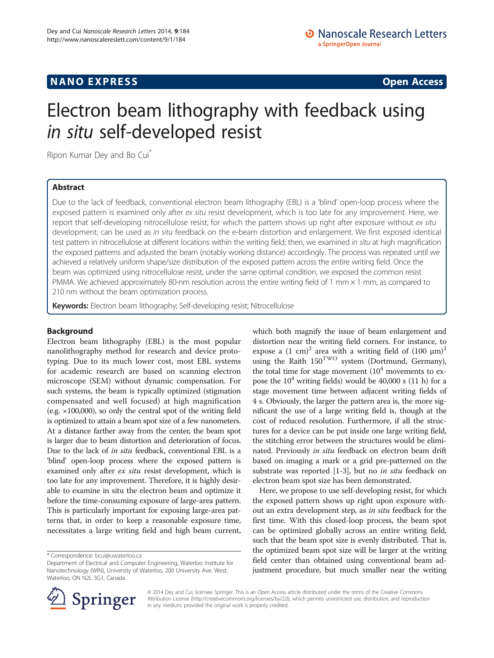## **NANO EXPRESS** Open Access and the set of the set of the set of the set of the set of the set of the set of the set of the set of the set of the set of the set of the set of the set of the set of the set of the set of the

# Electron beam lithography with feedback using in situ self-developed resist

Ripon Kumar Dey and Bo Cui\*

## Abstract

Due to the lack of feedback, conventional electron beam lithography (EBL) is a 'blind' open-loop process where the exposed pattern is examined only after ex situ resist development, which is too late for any improvement. Here, we report that self-developing nitrocellulose resist, for which the pattern shows up right after exposure without ex situ development, can be used as in situ feedback on the e-beam distortion and enlargement. We first exposed identical test pattern in nitrocellulose at different locations within the writing field; then, we examined in situ at high magnification the exposed patterns and adjusted the beam (notably working distance) accordingly. The process was repeated until we achieved a relatively uniform shape/size distribution of the exposed pattern across the entire writing field. Once the beam was optimized using nitrocellulose resist, under the same optimal condition, we exposed the common resist PMMA. We achieved approximately 80-nm resolution across the entire writing field of 1 mm  $\times$  1 mm, as compared to 210 nm without the beam optimization process.

Keywords: Electron beam lithography; Self-developing resist; Nitrocellulose

#### Background

Electron beam lithography (EBL) is the most popular nanolithography method for research and device prototyping. Due to its much lower cost, most EBL systems for academic research are based on scanning electron microscope (SEM) without dynamic compensation. For such systems, the beam is typically optimized (stigmation compensated and well focused) at high magnification (e.g. ×100,000), so only the central spot of the writing field is optimized to attain a beam spot size of a few nanometers. At a distance farther away from the center, the beam spot is larger due to beam distortion and deterioration of focus. Due to the lack of in situ feedback, conventional EBL is a 'blind' open-loop process where the exposed pattern is examined only after ex situ resist development, which is too late for any improvement. Therefore, it is highly desirable to examine in situ the electron beam and optimize it before the time-consuming exposure of large-area pattern. This is particularly important for exposing large-area patterns that, in order to keep a reasonable exposure time, necessitates a large writing field and high beam current,

\* Correspondence: [bcui@uwaterloo.ca](mailto:bcui@uwaterloo.ca)

which both magnify the issue of beam enlargement and distortion near the writing field corners. For instance, to expose a (1 cm)<sup>2</sup> area with a writing field of  $(100 \mu m)^2$ using the Raith  $150^{\text{TWO}}$  system (Dortmund, Germany), the total time for stage movement  $(10^4$  movements to expose the  $10^4$  writing fields) would be 40,000 s (11 h) for a stage movement time between adjacent writing fields of 4 s. Obviously, the larger the pattern area is, the more significant the use of a large writing field is, though at the cost of reduced resolution. Furthermore, if all the structures for a device can be put inside one large writing field, the stitching error between the structures would be eliminated. Previously in situ feedback on electron beam drift based on imaging a mark or a grid pre-patterned on the substrate was reported [[1-3](#page-5-0)], but no *in situ* feedback on electron beam spot size has been demonstrated.

Here, we propose to use self-developing resist, for which the exposed pattern shows up right upon exposure without an extra development step, as in situ feedback for the first time. With this closed-loop process, the beam spot can be optimized globally across an entire writing field, such that the beam spot size is evenly distributed. That is, the optimized beam spot size will be larger at the writing field center than obtained using conventional beam adjustment procedure, but much smaller near the writing



© 2014 Dey and Cui; licensee Springer. This is an Open Access article distributed under the terms of the Creative Commons Attribution License [\(http://creativecommons.org/licenses/by/2.0\)](http://creativecommons.org/licenses/by/2.0), which permits unrestricted use, distribution, and reproduction in any medium, provided the original work is properly credited.

Department of Electrical and Computer Engineering, Waterloo Institute for Nanotechnology (WIN), University of Waterloo, 200 University Ave. West, Waterloo, ON N2L 3G1, Canada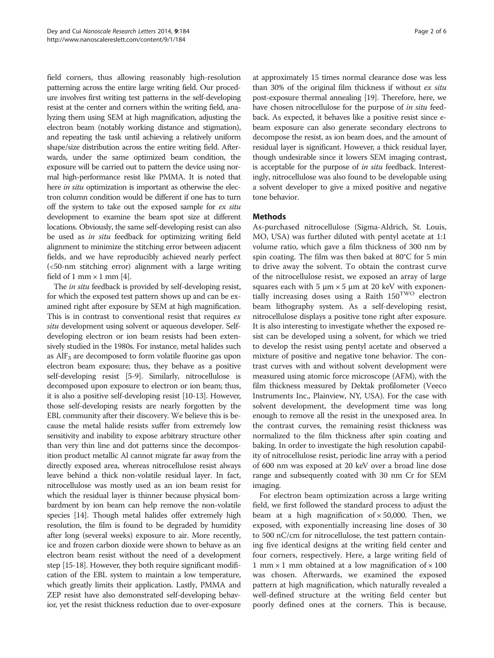field corners, thus allowing reasonably high-resolution patterning across the entire large writing field. Our procedure involves first writing test patterns in the self-developing resist at the center and corners within the writing field, analyzing them using SEM at high magnification, adjusting the electron beam (notably working distance and stigmation), and repeating the task until achieving a relatively uniform shape/size distribution across the entire writing field. Afterwards, under the same optimized beam condition, the exposure will be carried out to pattern the device using normal high-performance resist like PMMA. It is noted that here in situ optimization is important as otherwise the electron column condition would be different if one has to turn off the system to take out the exposed sample for ex situ development to examine the beam spot size at different locations. Obviously, the same self-developing resist can also be used as in situ feedback for optimizing writing field alignment to minimize the stitching error between adjacent fields, and we have reproducibly achieved nearly perfect (<50-nm stitching error) alignment with a large writing field of 1 mm  $\times$  1 mm [[4](#page-5-0)].

The *in situ* feedback is provided by self-developing resist, for which the exposed test pattern shows up and can be examined right after exposure by SEM at high magnification. This is in contrast to conventional resist that requires ex situ development using solvent or aqueous developer. Selfdeveloping electron or ion beam resists had been extensively studied in the 1980s. For instance, metal halides such as  $\text{AlF}_3$  are decomposed to form volatile fluorine gas upon electron beam exposure; thus, they behave as a positive self-developing resist [\[5](#page-5-0)-[9](#page-5-0)]. Similarly, nitrocellulose is decomposed upon exposure to electron or ion beam; thus, it is also a positive self-developing resist [\[10](#page-5-0)-[13](#page-5-0)]. However, those self-developing resists are nearly forgotten by the EBL community after their discovery. We believe this is because the metal halide resists suffer from extremely low sensitivity and inability to expose arbitrary structure other than very thin line and dot patterns since the decomposition product metallic Al cannot migrate far away from the directly exposed area, whereas nitrocellulose resist always leave behind a thick non-volatile residual layer. In fact, nitrocellulose was mostly used as an ion beam resist for which the residual layer is thinner because physical bombardment by ion beam can help remove the non-volatile species [\[14\]](#page-5-0). Though metal halides offer extremely high resolution, the film is found to be degraded by humidity after long (several weeks) exposure to air. More recently, ice and frozen carbon dioxide were shown to behave as an electron beam resist without the need of a development step [\[15-18\]](#page-5-0). However, they both require significant modification of the EBL system to maintain a low temperature, which greatly limits their application. Lastly, PMMA and ZEP resist have also demonstrated self-developing behavior, yet the resist thickness reduction due to over-exposure at approximately 15 times normal clearance dose was less than 30% of the original film thickness if without ex situ post-exposure thermal annealing [\[19\]](#page-5-0). Therefore, here, we have chosen nitrocellulose for the purpose of in situ feedback. As expected, it behaves like a positive resist since ebeam exposure can also generate secondary electrons to decompose the resist, as ion beam does, and the amount of residual layer is significant. However, a thick residual layer, though undesirable since it lowers SEM imaging contrast, is acceptable for the purpose of in situ feedback. Interestingly, nitrocellulose was also found to be developable using a solvent developer to give a mixed positive and negative tone behavior.

## Methods

As-purchased nitrocellulose (Sigma-Aldrich, St. Louis, MO, USA) was further diluted with pentyl acetate at 1:1 volume ratio, which gave a film thickness of 300 nm by spin coating. The film was then baked at 80°C for 5 min to drive away the solvent. To obtain the contrast curve of the nitrocellulose resist, we exposed an array of large squares each with 5  $\mu$ m  $\times$  5  $\mu$ m at 20 keV with exponentially increasing doses using a Raith  $150^{\text{TWO}}$  electron beam lithography system. As a self-developing resist, nitrocellulose displays a positive tone right after exposure. It is also interesting to investigate whether the exposed resist can be developed using a solvent, for which we tried to develop the resist using pentyl acetate and observed a mixture of positive and negative tone behavior. The contrast curves with and without solvent development were measured using atomic force microscope (AFM), with the film thickness measured by Dektak profilometer (Veeco Instruments Inc., Plainview, NY, USA). For the case with solvent development, the development time was long enough to remove all the resist in the unexposed area. In the contrast curves, the remaining resist thickness was normalized to the film thickness after spin coating and baking. In order to investigate the high resolution capability of nitrocellulose resist, periodic line array with a period of 600 nm was exposed at 20 keV over a broad line dose range and subsequently coated with 30 nm Cr for SEM imaging.

For electron beam optimization across a large writing field, we first followed the standard process to adjust the beam at a high magnification of  $\times$  50,000. Then, we exposed, with exponentially increasing line doses of 30 to 500 nC/cm for nitrocellulose, the test pattern containing five identical designs at the writing field center and four corners, respectively. Here, a large writing field of 1 mm  $\times$  1 mm obtained at a low magnification of  $\times$  100 was chosen. Afterwards, we examined the exposed pattern at high magnification, which naturally revealed a well-defined structure at the writing field center but poorly defined ones at the corners. This is because,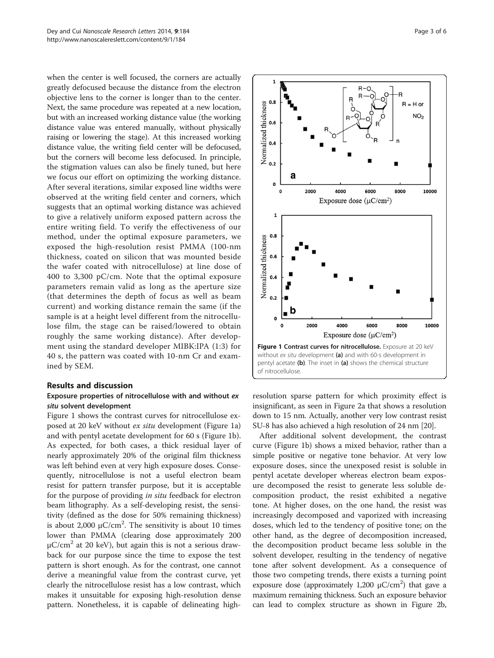when the center is well focused, the corners are actually greatly defocused because the distance from the electron objective lens to the corner is longer than to the center. Next, the same procedure was repeated at a new location, but with an increased working distance value (the working distance value was entered manually, without physically raising or lowering the stage). At this increased working distance value, the writing field center will be defocused, but the corners will become less defocused. In principle, the stigmation values can also be finely tuned, but here we focus our effort on optimizing the working distance. After several iterations, similar exposed line widths were observed at the writing field center and corners, which suggests that an optimal working distance was achieved to give a relatively uniform exposed pattern across the entire writing field. To verify the effectiveness of our method, under the optimal exposure parameters, we exposed the high-resolution resist PMMA (100-nm thickness, coated on silicon that was mounted beside the wafer coated with nitrocellulose) at line dose of 400 to 3,300 pC/cm. Note that the optimal exposure parameters remain valid as long as the aperture size (that determines the depth of focus as well as beam current) and working distance remain the same (if the sample is at a height level different from the nitrocellulose film, the stage can be raised/lowered to obtain roughly the same working distance). After development using the standard developer MIBK:IPA (1:3) for 40 s, the pattern was coated with 10-nm Cr and examined by SEM.

#### Results and discussion

## Exposure properties of nitrocellulose with and without ex situ solvent development

Figure 1 shows the contrast curves for nitrocellulose exposed at 20 keV without ex situ development (Figure 1a) and with pentyl acetate development for 60 s (Figure 1b). As expected, for both cases, a thick residual layer of nearly approximately 20% of the original film thickness was left behind even at very high exposure doses. Consequently, nitrocellulose is not a useful electron beam resist for pattern transfer purpose, but it is acceptable for the purpose of providing in situ feedback for electron beam lithography. As a self-developing resist, the sensitivity (defined as the dose for 50% remaining thickness) is about 2,000  $\mu$ C/cm<sup>2</sup>. The sensitivity is about 10 times lower than PMMA (clearing dose approximately 200  $\mu$ C/cm<sup>2</sup> at 20 keV), but again this is not a serious drawback for our purpose since the time to expose the test pattern is short enough. As for the contrast, one cannot derive a meaningful value from the contrast curve, yet clearly the nitrocellulose resist has a low contrast, which makes it unsuitable for exposing high-resolution dense pattern. Nonetheless, it is capable of delineating high-



resolution sparse pattern for which proximity effect is insignificant, as seen in Figure [2](#page-3-0)a that shows a resolution down to 15 nm. Actually, another very low contrast resist SU-8 has also achieved a high resolution of 24 nm [[20](#page-5-0)].

After additional solvent development, the contrast curve (Figure 1b) shows a mixed behavior, rather than a simple positive or negative tone behavior. At very low exposure doses, since the unexposed resist is soluble in pentyl acetate developer whereas electron beam exposure decomposed the resist to generate less soluble decomposition product, the resist exhibited a negative tone. At higher doses, on the one hand, the resist was increasingly decomposed and vaporized with increasing doses, which led to the tendency of positive tone; on the other hand, as the degree of decomposition increased, the decomposition product became less soluble in the solvent developer, resulting in the tendency of negative tone after solvent development. As a consequence of those two competing trends, there exists a turning point exposure dose (approximately 1,200  $\mu$ C/cm<sup>2</sup>) that gave a maximum remaining thickness. Such an exposure behavior can lead to complex structure as shown in Figure [2](#page-3-0)b,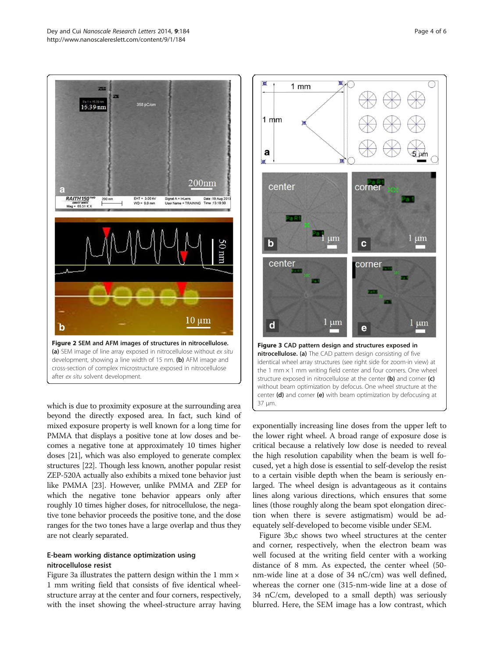

<span id="page-3-0"></span>

which is due to proximity exposure at the surrounding area beyond the directly exposed area. In fact, such kind of mixed exposure property is well known for a long time for PMMA that displays a positive tone at low doses and becomes a negative tone at approximately 10 times higher doses [[21](#page-5-0)], which was also employed to generate complex structures [\[22](#page-5-0)]. Though less known, another popular resist ZEP-520A actually also exhibits a mixed tone behavior just like PMMA [\[23\]](#page-5-0). However, unlike PMMA and ZEP for which the negative tone behavior appears only after roughly 10 times higher doses, for nitrocellulose, the negative tone behavior proceeds the positive tone, and the dose ranges for the two tones have a large overlap and thus they are not clearly separated.

## E-beam working distance optimization using nitrocellulose resist

Figure 3a illustrates the pattern design within the 1 mm × 1 mm writing field that consists of five identical wheelstructure array at the center and four corners, respectively, with the inset showing the wheel-structure array having



exponentially increasing line doses from the upper left to the lower right wheel. A broad range of exposure dose is critical because a relatively low dose is needed to reveal the high resolution capability when the beam is well focused, yet a high dose is essential to self-develop the resist to a certain visible depth when the beam is seriously enlarged. The wheel design is advantageous as it contains lines along various directions, which ensures that some lines (those roughly along the beam spot elongation direction when there is severe astigmatism) would be adequately self-developed to become visible under SEM.

Figure 3b,c shows two wheel structures at the center and corner, respectively, when the electron beam was well focused at the writing field center with a working distance of 8 mm. As expected, the center wheel (50 nm-wide line at a dose of 34 nC/cm) was well defined, whereas the corner one (315-nm-wide line at a dose of 34 nC/cm, developed to a small depth) was seriously blurred. Here, the SEM image has a low contrast, which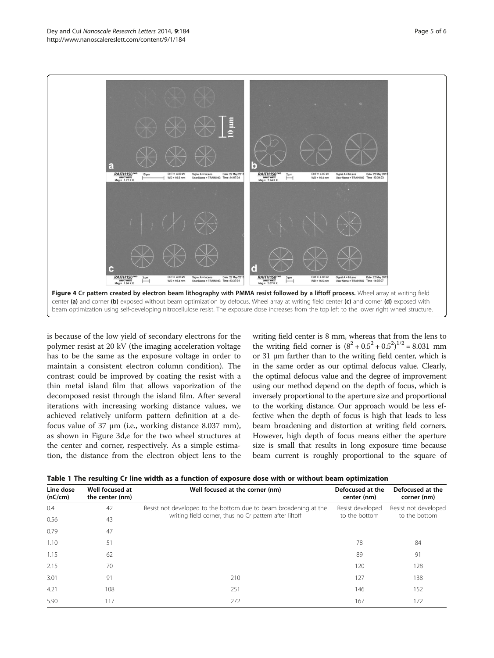<span id="page-4-0"></span>

is because of the low yield of secondary electrons for the polymer resist at 20 kV (the imaging acceleration voltage has to be the same as the exposure voltage in order to maintain a consistent electron column condition). The contrast could be improved by coating the resist with a thin metal island film that allows vaporization of the decomposed resist through the island film. After several iterations with increasing working distance values, we achieved relatively uniform pattern definition at a defocus value of 37 μm (i.e., working distance 8.037 mm), as shown in Figure [3d](#page-3-0),e for the two wheel structures at the center and corner, respectively. As a simple estimation, the distance from the electron object lens to the writing field center is 8 mm, whereas that from the lens to the writing field corner is  $(8^2 + 0.5^2 + 0.5^2)^{1/2} = 8.031$  mm or 31 μm farther than to the writing field center, which is in the same order as our optimal defocus value. Clearly, the optimal defocus value and the degree of improvement using our method depend on the depth of focus, which is inversely proportional to the aperture size and proportional to the working distance. Our approach would be less effective when the depth of focus is high that leads to less beam broadening and distortion at writing field corners. However, high depth of focus means either the aperture size is small that results in long exposure time because beam current is roughly proportional to the square of

|  |  | Table 1 The resulting Cr line width as a function of exposure dose with or without beam optimization |  |
|--|--|------------------------------------------------------------------------------------------------------|--|
|--|--|------------------------------------------------------------------------------------------------------|--|

| Line dose<br>(nC/cm) | Well focused at<br>the center (nm) | Well focused at the corner (nm)                                  | Defocused at the<br>center (nm)   | Defocused at the<br>corner (nm)       |
|----------------------|------------------------------------|------------------------------------------------------------------|-----------------------------------|---------------------------------------|
| 0.4                  | 42                                 | Resist not developed to the bottom due to beam broadening at the | Resist developed<br>to the bottom | Resist not developed<br>to the bottom |
| 0.56                 | 43                                 | writing field corner, thus no Cr pattern after liftoff           |                                   |                                       |
| 0.79                 | 47                                 |                                                                  |                                   |                                       |
| 1.10                 | 51                                 |                                                                  | 78                                | 84                                    |
| 1.15                 | 62                                 |                                                                  | 89                                | 91                                    |
| 2.15                 | 70                                 |                                                                  | 120                               | 128                                   |
| 3.01                 | 91                                 | 210                                                              | 127                               | 138                                   |
| 4.21                 | 108                                | 251                                                              | 146                               | 152                                   |
| 5.90                 | 117                                | 272                                                              | 167                               | 172                                   |